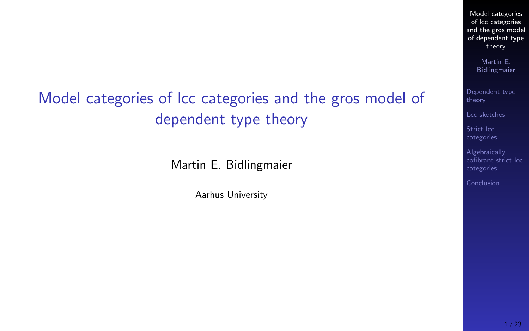## <span id="page-0-0"></span>Model categories of lcc categories and the gros model of dependent type theory

Martin E. Bidlingmaier

Aarhus University

Model categories of lcc categories [and the gros model](#page-22-0) of dependent type theory

> Martin E. Bidlingmaier

[Dependent type](#page-2-0)

[Lcc sketches](#page-6-0)

Strict lcc [categories](#page-12-0)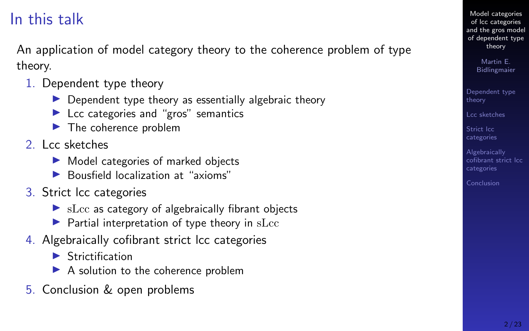### In this talk

An application of model category theory to the coherence problem of type theory.

- 1. Dependent type theory
	- $\triangleright$  Dependent type theory as essentially algebraic theory
	- $\blacktriangleright$  Lcc categories and "gros" semantics
	- $\blacktriangleright$  The coherence problem
- 2. Lcc sketches
	- $\blacktriangleright$  Model categories of marked objects
	- $\blacktriangleright$  Bousfield localization at "axioms"
- 3. Strict lcc categories
	- $\triangleright$  sLcc as category of algebraically fibrant objects
	- $\blacktriangleright$  Partial interpretation of type theory in sLcc
- 4. Algebraically cofibrant strict lcc categories
	- $\blacktriangleright$  Strictification
	- $\blacktriangleright$  A solution to the coherence problem
- 5. Conclusion & open problems

Model categories of lcc categories [and the gros model](#page-0-0) of dependent type theory

> Martin E. Bidlingmaier

[Dependent type](#page-2-0) theory

[Lcc sketches](#page-6-0)

Strict lcc [categories](#page-12-0)

Algebraically [cofibrant strict lcc](#page-17-0) categories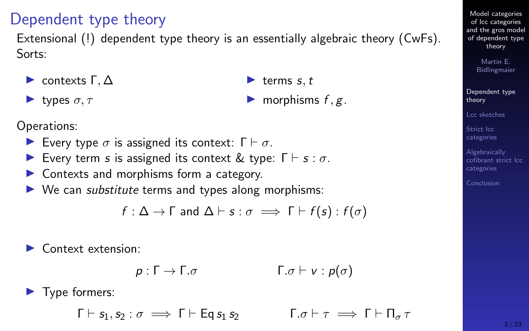#### 3 / 23

Model categories of lcc categories [and the gros model](#page-0-0) of dependent type theory

> Martin E. Bidlingmaier

[Dependent type](#page-2-0) theory

[cofibrant strict lcc](#page-17-0) categories

[Lcc sketches](#page-6-0)

Strict lcc [categories](#page-12-0) Algebraically

Every type  $\sigma$  is assigned its context:  $\Gamma \vdash \sigma$ .

- Every term s is assigned its context & type:  $\Gamma \vdash s : \sigma$ .
- $\triangleright$  Contexts and morphisms form a category.
- $\triangleright$  We can *substitute* terms and types along morphisms:

$$
f: \Delta \to \Gamma \text{ and } \Delta \vdash s: \sigma \implies \Gamma \vdash f(s): f(\sigma)
$$

 $\blacktriangleright$  Context extension:

 $p : \Gamma \to \Gamma \cdot \sigma$   $\qquad \qquad \Gamma \cdot \sigma \vdash v : p(\sigma)$ 

 $\blacktriangleright$  Type formers:

 $\Gamma \vdash s_1, s_2 : \sigma \implies \Gamma \vdash \text{Ea} s_1 s_2 \qquad \Gamma, \sigma \vdash \tau \implies \Gamma \vdash \Pi_\sigma \tau$ 

## $\blacktriangleright$  morphisms  $f, g$ .

 $\blacktriangleright$  terms s, t

### <span id="page-2-0"></span>Dependent type theory

Extensional (!) dependent type theory is an essentially algebraic theory (CwFs). Sorts:

 $\blacktriangleright$  contexts  $\Gamma, \Delta$ 

 $\blacktriangleright$  types  $\sigma, \tau$ 

Operations: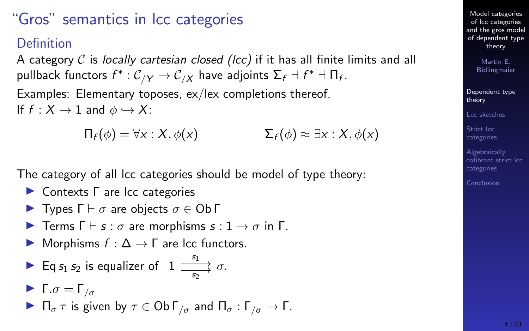### "Gros" semantics in lcc categories

#### Definition

A category C is locally cartesian closed (lcc) if it has all finite limits and all pullback functors  $f^*: \mathcal{C}_{/Y} \to \mathcal{C}_{/X}$  have adjoints  $\Sigma_f \dashv f^* \dashv \Pi_f$ .

Examples: Elementary toposes, ex/lex completions thereof. If  $f : X \to 1$  and  $\phi \hookrightarrow X$ :

 $\Pi_f(\phi) = \forall x : X, \phi(x)$   $\Sigma_f(\phi) \approx \exists x : X, \phi(x)$ 

The category of all lcc categories should be model of type theory:

- ► Contexts Γ are lcc categories
- **IF** Types  $\Gamma \vdash \sigma$  are objects  $\sigma \in \mathsf{Ob}\,\Gamma$
- **I** Terms  $\Gamma \vdash s : \sigma$  are morphisms  $s : 1 \rightarrow \sigma$  in  $\Gamma$ .
- $\triangleright$  Morphisms  $f : \Delta \to \Gamma$  are lcc functors.
- Eq  $s_1 s_2$  is equalizer of  $1 \xrightarrow{s_1} \sigma$ . s2

$$
\blacktriangleright \Gamma.\sigma = \Gamma_{/\sigma}
$$

 $\blacksquare$  Π<sub>σ</sub> τ is given by  $\tau \in \mathsf{Ob}\,\Gamma_{\mathfrak{l}_\sigma}$  and  $\Pi_{\sigma} : \Gamma_{\mathfrak{l}_\sigma} \to \Gamma$ .

Model categories of lcc categories [and the gros model](#page-0-0) of dependent type theory

> Martin E. Bidlingmaier

[Dependent type](#page-2-0) theory

[Lcc sketches](#page-6-0)

Strict lcc [categories](#page-12-0)

Algebraically [cofibrant strict lcc](#page-17-0) categories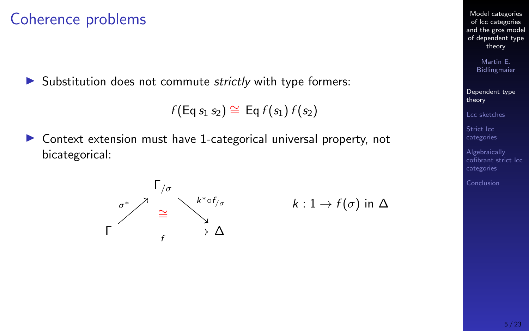### Coherence problems

 $\triangleright$  Substitution does not commute *strictly* with type formers:

$$
f(\mathsf{Eq}\, s_1\, s_2) \cong\, \mathsf{Eq}\, f(s_1)\, f(s_2)
$$

 $\triangleright$  Context extension must have 1-categorical universal property, not bicategorical:





Model categories of lcc categories [and the gros model](#page-0-0) of dependent type theory

> Martin E. Bidlingmaier

[Dependent type](#page-2-0) theory

[Lcc sketches](#page-6-0)

Strict lcc [categories](#page-12-0)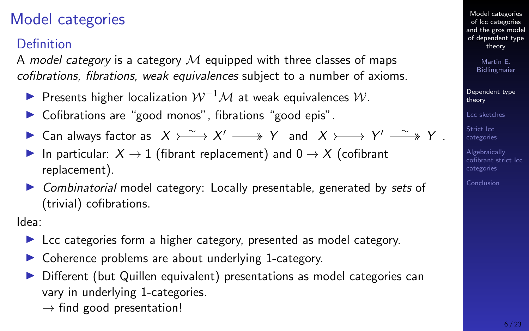### Model categories

#### Definition

A model category is a category  $\mathcal M$  equipped with three classes of maps cofibrations, fibrations, weak equivalences subject to a number of axioms.

- $\triangleright$  Presents higher localization  $W^{-1}M$  at weak equivalences W.
- $\triangleright$  Cofibrations are "good monos", fibrations "good epis".
- ► Can always factor as  $X \rightarrow \infty$   $X' \rightarrow Y'$  and  $X \rightarrow \infty$   $Y' \rightarrow X'$ .
- In particular:  $X \rightarrow 1$  (fibrant replacement) and  $0 \rightarrow X$  (cofibrant replacement).
- $\triangleright$  Combinatorial model category: Locally presentable, generated by sets of (trivial) cofibrations.

Idea:

- $\blacktriangleright$  Lcc categories form a higher category, presented as model category.
- $\triangleright$  Coherence problems are about underlying 1-category.
- **In Different (but Quillen equivalent) presentations as model categories can** vary in underlying 1-categories.
	- $\rightarrow$  find good presentation!

Model categories of lcc categories [and the gros model](#page-0-0) of dependent type theory

> Martin E. Bidlingmaier

[Dependent type](#page-2-0) theory

[Lcc sketches](#page-6-0)

Strict lcc. [categories](#page-12-0)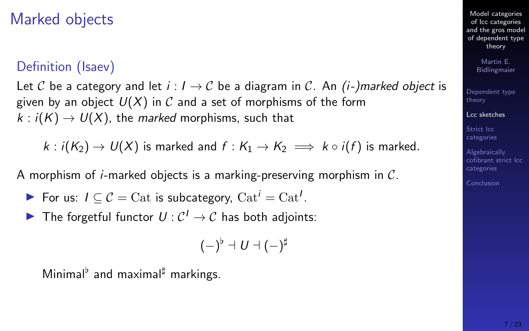### <span id="page-6-0"></span>Marked objects

#### Definition (Isaev)

Let C be a category and let  $i : I \rightarrow C$  be a diagram in C. An  $(i-)$  marked object is given by an object  $U(X)$  in C and a set of morphisms of the form  $k : i(K) \to U(X)$ , the marked morphisms, such that

 $k : i(K_2) \to U(X)$  is marked and  $f : K_1 \to K_2 \implies k \circ i(f)$  is marked.

A morphism of *i*-marked objects is a marking-preserving morphism in  $C$ .

- For us:  $I \subseteq \mathcal{C} = \text{Cat}$  is subcategory,  $\text{Cat}^i = \text{Cat}^i$ .
- The forgetful functor  $U: \mathcal{C}^1 \to \mathcal{C}$  has both adjoints:

$$
(-)^{\flat}\dashv U\dashv (-)^{\sharp}
$$

Minimal $\flat$  and maximal<sup>#</sup> markings.

Model categories of lcc categories [and the gros model](#page-0-0) of dependent type theory

> Martin E. Bidlingmaier

[Dependent type](#page-2-0) theory

#### [Lcc sketches](#page-6-0)

Strict lcc [categories](#page-12-0)

Algebraically [cofibrant strict lcc](#page-17-0) categories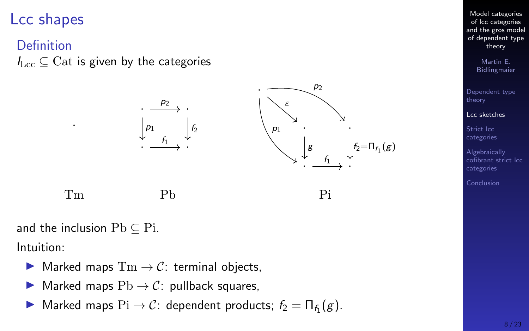### Lcc shapes

#### Definition

 $I_{\text{Lcc}} \subseteq \text{Cat}$  is given by the categories



and the inclusion  $Pb \subset Pi$ .

Intuition:

- $\triangleright$  Marked maps  $\text{Tm} \to \mathcal{C}$ : terminal objects,
- $\triangleright$  Marked maps  $Pb \rightarrow C$ : pullback squares,
- ▶ Marked maps  $\text{Pi} \to \mathcal{C}$ : dependent products;  $f_2 = \Pi_{f_1}(g)$ .

Model categories of lcc categories [and the gros model](#page-0-0) of dependent type theory

> Martin E. Bidlingmaier

[Dependent type](#page-2-0) theory

#### [Lcc sketches](#page-6-0)

Strict lcc [categories](#page-12-0)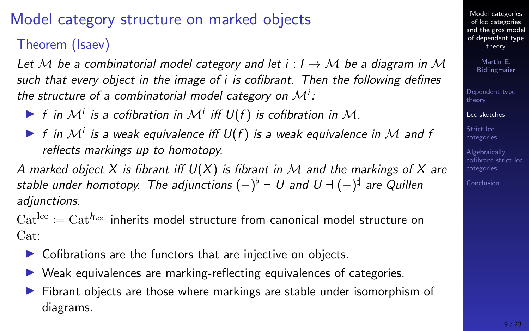## Model category structure on marked objects

Theorem (Isaev)

Let M be a combinatorial model category and let  $i : I \rightarrow M$  be a diagram in M such that every object in the image of i is cofibrant. Then the following defines the structure of a combinatorial model category on  $\mathcal{M}^i$ :

- If in  $M^i$  is a cofibration in  $M^i$  iff  $U(f)$  is cofibration in  $M$ .
- If in  $M^i$  is a weak equivalence iff  $U(f)$  is a weak equivalence in M and f reflects markings up to homotopy.

A marked object X is fibrant iff  $U(X)$  is fibrant in M and the markings of X are stable under homotopy. The adjunctions  $(-)^{\flat} \dashv U$  and  $U \dashv (-)^{\sharp}$  are Quillen adjunctions.

 $\mathrm{Cat}^{\mathrm{lcc}} := \mathrm{Cat}^{t_{\mathrm{Lcc}}}$  inherits model structure from canonical model structure on Cat:

- $\triangleright$  Cofibrations are the functors that are injective on objects.
- $\triangleright$  Weak equivalences are marking-reflecting equivalences of categories.
- In Fibrant objects are those where markings are stable under isomorphism of diagrams.

Model categories of lcc categories [and the gros model](#page-0-0) of dependent type theory

> Martin E. Bidlingmaier

[Dependent type](#page-2-0) theory

#### [Lcc sketches](#page-6-0)

Strict lcc [categories](#page-12-0)

Algebraically [cofibrant strict lcc](#page-17-0) categories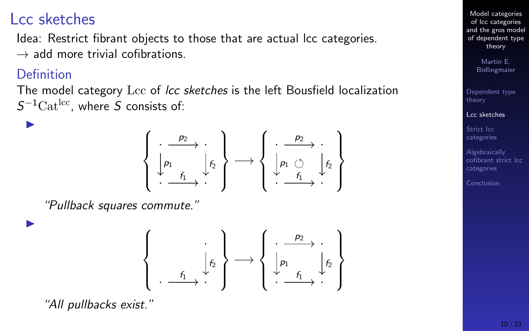### Lcc sketches

Idea: Restrict fibrant objects to those that are actual lcc categories.  $\rightarrow$  add more trivial cofibrations.

#### **Definition**

 $\blacktriangleright$ 

 $\blacktriangleright$ 

The model category Lcc of *lcc sketches* is the left Bousfield localization  $S^{-1}\text{Cat}^{\text{loc}}$ , where S consists of:



"Pullback squares commute."



"All pullbacks exist."

Model categories of lcc categories [and the gros model](#page-0-0) of dependent type theory

> Martin E. Bidlingmaier

[Dependent type](#page-2-0) theory

[Lcc sketches](#page-6-0)

Strict lcc. [categories](#page-12-0)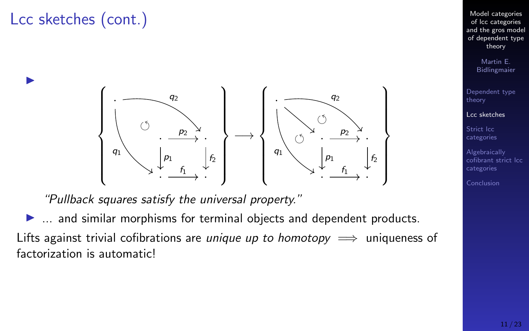## Lcc sketches (cont.)

 $\blacktriangleright$ 



"Pullback squares satisfy the universal property."

 $\blacktriangleright$  ... and similar morphisms for terminal objects and dependent products. Lifts against trivial cofibrations are *unique up to homotopy*  $\implies$  uniqueness of factorization is automatic!

Model categories of lcc categories [and the gros model](#page-0-0) of dependent type theory

> Martin E. Bidlingmaier

[Dependent type](#page-2-0) theory

[Lcc sketches](#page-6-0)

Strict lcc [categories](#page-12-0)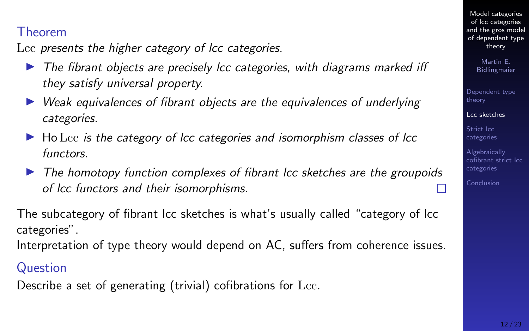#### Theorem

Lcc presents the higher category of lcc categories.

- $\triangleright$  The fibrant objects are precisely lcc categories, with diagrams marked iff they satisfy universal property.
- $\triangleright$  Weak equivalences of fibrant objects are the equivalences of underlying categories.
- $\blacktriangleright$  Ho Lcc is the category of lcc categories and isomorphism classes of lcc functors.
- $\triangleright$  The homotopy function complexes of fibrant lcc sketches are the groupoids of lcc functors and their isomorphisms.

The subcategory of fibrant lcc sketches is what's usually called "category of lcc categories".

Interpretation of type theory would depend on AC, suffers from coherence issues.

#### **Question**

Describe a set of generating (trivial) cofibrations for Lcc.

Model categories of lcc categories [and the gros model](#page-0-0) of dependent type theory

> Martin E. Bidlingmaier

[Dependent type](#page-2-0) theory

[Lcc sketches](#page-6-0)

Strict lcc [categories](#page-12-0)

Algebraically [cofibrant strict lcc](#page-17-0) categories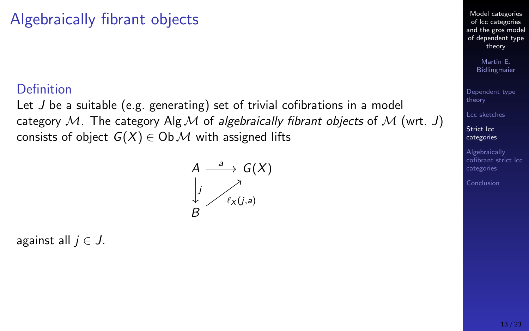### <span id="page-12-0"></span>Algebraically fibrant objects

#### Definition

Let J be a suitable (e.g. generating) set of trivial cofibrations in a model category M. The category Alg M of algebraically fibrant objects of M (wrt. J) consists of object  $G(X) \in Ob \mathcal{M}$  with assigned lifts

$$
A \xrightarrow{a} G(X)
$$
  
\n
$$
\downarrow \searrow
$$
  
\n
$$
\ell_X(j,a)
$$
  
\nB

against all  $i \in J$ .

Model categories of lcc categories [and the gros model](#page-0-0) of dependent type theory

> Martin E. Bidlingmaier

[Dependent type](#page-2-0) theory

[Lcc sketches](#page-6-0)

Strict lcc [categories](#page-12-0)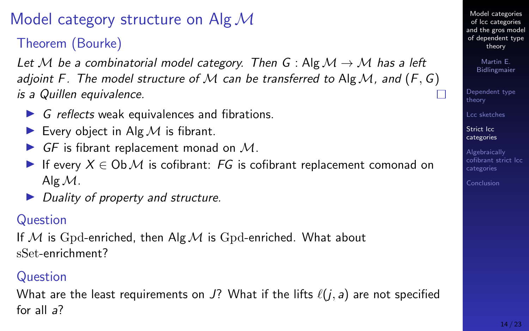### Model category structure on Alg  $\mathcal{M}$

Theorem (Bourke)

Let M be a combinatorial model category. Then G : Alg  $\mathcal{M} \to \mathcal{M}$  has a left adioint F. The model structure of M can be transferred to Alg M, and  $(F, G)$ is a Quillen equivalence.

- $\triangleright$  G reflects weak equivalences and fibrations.
- Every object in Alg  $M$  is fibrant.
- $\triangleright$  GF is fibrant replacement monad on M.
- If every  $X \in \text{Ob } \mathcal{M}$  is cofibrant: FG is cofibrant replacement comonad on Alg  $M$ .
- $\triangleright$  Duality of property and structure.

#### Question

If M is Gpd-enriched, then Alg M is Gpd-enriched. What about sSet-enrichment?

#### Question

What are the least requirements on J? What if the lifts  $\ell(j, a)$  are not specified for all a?

Model categories of lcc categories [and the gros model](#page-0-0) of dependent type theory

> Martin E. Bidlingmaier

[Dependent type](#page-2-0) theory

[Lcc sketches](#page-6-0)

Strict lcc [categories](#page-12-0)

Algebraically [cofibrant strict lcc](#page-17-0) categories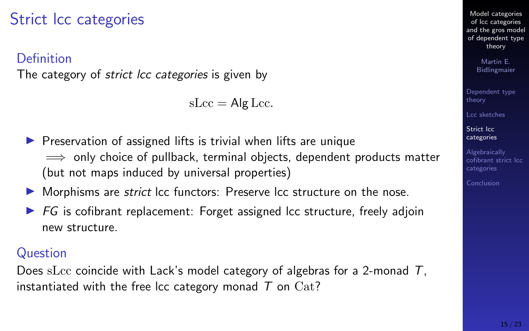### Strict lcc categories

#### Definition

The category of *strict lcc categories* is given by

 $sLcc = Ale Lcc$ .

- $\triangleright$  Preservation of assigned lifts is trivial when lifts are unique  $\implies$  only choice of pullback, terminal objects, dependent products matter (but not maps induced by universal properties)
- $\blacktriangleright$  Morphisms are *strict* lcc functors: Preserve lcc structure on the nose.
- $\triangleright$  FG is cofibrant replacement: Forget assigned lcc structure, freely adjoin new structure.

#### **Question**

Does sLcc coincide with Lack's model category of algebras for a 2-monad  $T$ , instantiated with the free lcc category monad  $T$  on  $Cat?$ 

Model categories of lcc categories [and the gros model](#page-0-0) of dependent type theory

> Martin E. Bidlingmaier

[Dependent type](#page-2-0) theory

[Lcc sketches](#page-6-0)

Strict lcc. [categories](#page-12-0)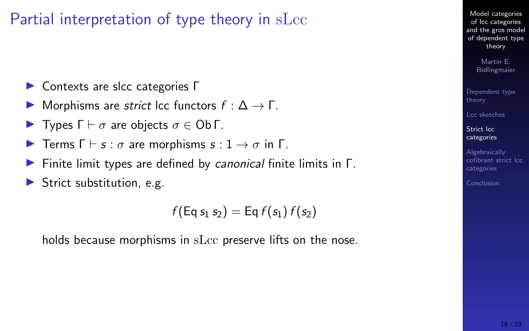### Partial interpretation of type theory in sLcc

- $\triangleright$  Contexts are slcc categories Γ
- $\triangleright$  Morphisms are *strict* lcc functors  $f : \Delta \to \Gamma$ .
- **IF** Types  $\Gamma \vdash \sigma$  are objects  $\sigma \in \mathsf{Ob}\,\Gamma$ .
- **I** Terms  $\Gamma \vdash s : \sigma$  are morphisms  $s : 1 \rightarrow \sigma$  in  $\Gamma$ .
- **Finite limit types are defined by canonical finite limits in Γ.**
- $\blacktriangleright$  Strict substitution, e.g.

 $f(\text{Eq } s_1 s_2) = \text{Eq } f(s_1) f(s_2)$ 

holds because morphisms in sLcc preserve lifts on the nose.

Model categories of lcc categories [and the gros model](#page-0-0) of dependent type theory

> Martin E. Bidlingmaier

[Dependent type](#page-2-0) theory

[Lcc sketches](#page-6-0)

Strict lcc [categories](#page-12-0)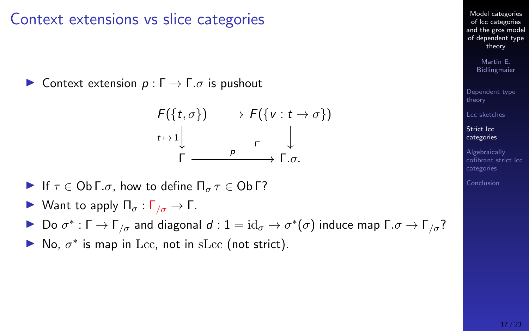Context extensions vs slice categories

 $\triangleright$  Context extension  $p: \Gamma \to \Gamma$ .σ is pushout

F({t, σ}) F({v : t → σ}) Γ Γ.σ. t 7→ 1 p p

$$
\begin{array}{cccc}\n\cdot & \cdot & \downarrow & & & \\
& \uparrow & & & \uparrow & \downarrow \\
& \uparrow & & & \uparrow & \uparrow \\
& & \uparrow & & & \uparrow \\
& & & \uparrow & & \uparrow\n\end{array}
$$

**Example 11** If 
$$
\tau \in \mathsf{Ob}\,\Gamma.\sigma
$$
, how to define  $\Pi_{\sigma}\,\tau \in \mathsf{Ob}\,\Gamma$ ?

 $\blacktriangleright$  Want to apply  $\Pi_{\sigma}$  :  $\Gamma_{\sigma} \to \Gamma$ .

► Do σ<sup>\*</sup>: Γ → Γ<sub>/σ</sub> and diagonal  $d$  :  $1 = id_{\sigma} \to \sigma^*(\sigma)$  induce map Γ. $\sigma \to \Gamma_{/\sigma}$ ?

 $\blacktriangleright$  No,  $\sigma^*$  is map in Lcc, not in sLcc (not strict).

Model categories of lcc categories [and the gros model](#page-0-0) of dependent type theory

> Martin E. Bidlingmaier

[Dependent type](#page-2-0) theory

[Lcc sketches](#page-6-0)

Strict lcc [categories](#page-12-0)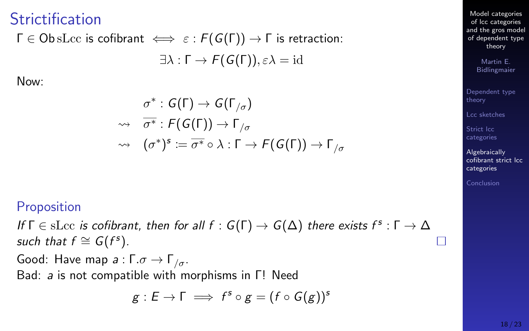### <span id="page-17-0"></span>**Strictification**

# $\Gamma \in \text{ObsLoc}$  is cofibrant  $\iff \varepsilon : F(G(\Gamma)) \to \Gamma$  is retraction:

 $\exists \lambda : \Gamma \to F(G(\Gamma)), \varepsilon \lambda = id$ 

Now:

$$
\sigma^* : G(\Gamma) \to G(\Gamma_{/\sigma})
$$
  
\n
$$
\rightsquigarrow \quad \overline{\sigma^*} : F(G(\Gamma)) \to \Gamma_{/\sigma}
$$
  
\n
$$
\rightsquigarrow \quad (\sigma^*)^s := \overline{\sigma^*} \circ \lambda : \Gamma \to F(G(\Gamma)) \to \Gamma_{/\sigma}
$$

#### Proposition

If  $\Gamma \in$  sLcc is cofibrant, then for all  $f : G(\Gamma) \to G(\Delta)$  there exists  $f^s : \Gamma \to \Delta$ such that  $f \cong G(f^s)$ .

Good: Have map  $a : \Gamma \cdot \sigma \to \Gamma_{\sigma}$ . Bad: a is not compatible with morphisms in Γ! Need

$$
g:E\to \Gamma\implies f^s\circ g=(f\circ G(g))^s
$$

Model categories of lcc categories [and the gros model](#page-0-0) of dependent type theory

> Martin E. Bidlingmaier

[Dependent type](#page-2-0) theory

[Lcc sketches](#page-6-0)

Strict lcc [categories](#page-12-0)

Algebraically [cofibrant strict lcc](#page-17-0) categories

П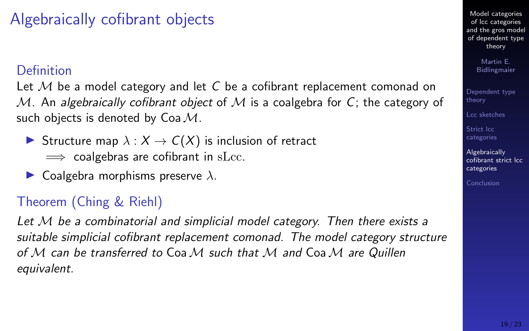## Algebraically cofibrant objects

#### **Definition**

Let  $M$  be a model category and let C be a cofibrant replacement comonad on M. An algebraically cofibrant object of M is a coalgebra for C; the category of such objects is denoted by  $Coa \mathcal{M}$ .

 $\triangleright$  Structure map  $\lambda : X \to C(X)$  is inclusion of retract

 $\implies$  coalgebras are cofibrant in sLcc.

 $\blacktriangleright$  Coalgebra morphisms preserve  $\lambda$ .

### Theorem (Ching & Riehl)

Let M be a combinatorial and simplicial model category. Then there exists a suitable simplicial cofibrant replacement comonad. The model category structure of M can be transferred to Coa M such that M and Coa M are Quillen equivalent.

Model categories of lcc categories [and the gros model](#page-0-0) of dependent type theory

> Martin E. Bidlingmaier

[Dependent type](#page-2-0) theory

[Lcc sketches](#page-6-0)

Strict lcc [categories](#page-12-0)

Algebraically [cofibrant strict lcc](#page-17-0) categories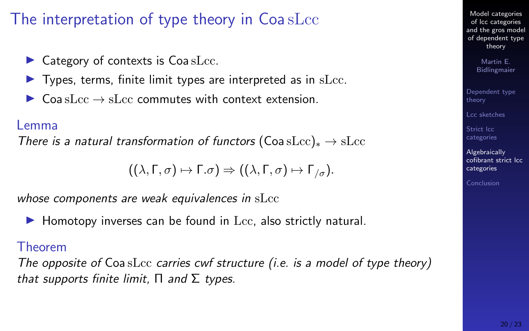### The interpretation of type theory in Coa sLcc

- $\blacktriangleright$  Category of contexts is Coa sLcc.
- $\blacktriangleright$  Types, terms, finite limit types are interpreted as in sLcc.
- $\triangleright$  Coa sLcc  $\rightarrow$  sLcc commutes with context extension.

#### Lemma

There is a natural transformation of functors (Coa sLcc) $_* \rightarrow$  sLcc

 $((\lambda, \Gamma, \sigma) \mapsto \Gamma \cdot \sigma) \Rightarrow ((\lambda, \Gamma, \sigma) \mapsto \Gamma_{\sigma}).$ 

whose components are weak equivalences in sLcc

 $\blacktriangleright$  Homotopy inverses can be found in Lcc, also strictly natural.

#### Theorem

The opposite of  $Coa$  sLcc carries cwf structure (i.e. is a model of type theory) that supports finite limit,  $\Pi$  and  $\Sigma$  types.

Model categories of lcc categories [and the gros model](#page-0-0) of dependent type theory

> Martin E. Bidlingmaier

[Dependent type](#page-2-0) theory

[Lcc sketches](#page-6-0)

Strict lcc [categories](#page-12-0)

**Algebraically** [cofibrant strict lcc](#page-17-0) categories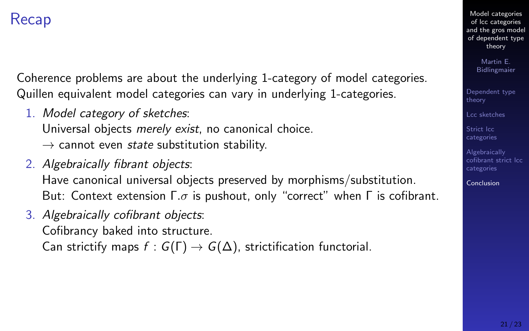### <span id="page-20-0"></span>Recap

Coherence problems are about the underlying 1-category of model categories. Quillen equivalent model categories can vary in underlying 1-categories.

1. Model category of sketches:

Universal objects merely exist, no canonical choice.

- $\rightarrow$  cannot even *state* substitution stability.
- 2. Algebraically fibrant objects: Have canonical universal objects preserved by morphisms/substitution. But: Context extension  $\Gamma.\sigma$  is pushout, only "correct" when  $\Gamma$  is cofibrant.
- 3. Algebraically cofibrant objects: Cofibrancy baked into structure. Can strictify maps  $f : G(\Gamma) \to G(\Delta)$ , strictification functorial.

Model categories of lcc categories [and the gros model](#page-0-0) of dependent type theory

> Martin E. Bidlingmaier

[Dependent type](#page-2-0) theory

[Lcc sketches](#page-6-0)

Strict lcc [categories](#page-12-0)

Algebraically [cofibrant strict lcc](#page-17-0) categories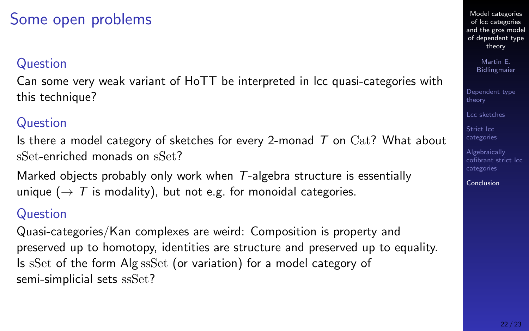### Some open problems

#### Question

Can some very weak variant of HoTT be interpreted in lcc quasi-categories with this technique?

#### **Question**

Is there a model category of sketches for every 2-monad  $T$  on  $Cat?$  What about sSet-enriched monads on sSet?

Marked objects probably only work when  $T$ -algebra structure is essentially unique ( $\rightarrow$  T is modality), but not e.g. for monoidal categories.

#### Question

Quasi-categories/Kan complexes are weird: Composition is property and preserved up to homotopy, identities are structure and preserved up to equality. Is sSet of the form Alg ssSet (or variation) for a model category of semi-simplicial sets ssSet?

Model categories of lcc categories [and the gros model](#page-0-0) of dependent type theory

> Martin E. Bidlingmaier

[Dependent type](#page-2-0) theory

[Lcc sketches](#page-6-0)

Strict lcc [categories](#page-12-0)

Algebraically [cofibrant strict lcc](#page-17-0) categories